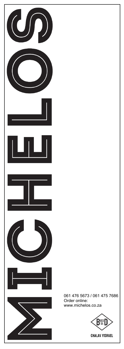

061 476 5673 / 061 475 7686 Order online: www.michelos.co.za

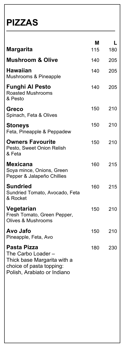#### **PIZZAS**

| <b>Margarita</b>                                                                                                                   | М<br>115 | L<br>180 |
|------------------------------------------------------------------------------------------------------------------------------------|----------|----------|
| <b>Mushroom &amp; Olive</b>                                                                                                        | 140      | 205      |
| <b>Hawaiian</b><br>Mushrooms & Pineapple                                                                                           | 140      | 205      |
| <b>Funghi Al Pesto</b><br><b>Roasted Mushrooms</b><br>& Pesto                                                                      | 140      | 205      |
| <b>Greco</b><br>Spinach, Feta & Olives                                                                                             | 150      | 210      |
| <b>Stoneys</b><br>Feta, Pineapple & Peppadew                                                                                       | 150      | 210      |
| <b>Owners Favourite</b><br>Pesto, Sweet Onion Relish<br>& Feta                                                                     | 150      | 210      |
| <b>Mexicana</b><br>Soya mince, Onions, Green<br>Pepper & Jalapeño Chillies                                                         | 160      | 215      |
| <b>Sundried</b><br>Sundried Tomato, Avocado, Feta<br>& Rocket                                                                      | 160      | 215      |
| Vegetarian<br>Fresh Tomato, Green Pepper,<br><b>Olives &amp; Mushrooms</b>                                                         | 150      | 210      |
| Avo Jafo<br>Pineapple, Feta, Avo                                                                                                   | 150      | 210      |
| <b>Pasta Pizza</b><br>The Carbo Loader -<br>Thick base Margarita with a<br>choice of pasta topping:<br>Polish, Arabiato or Indiano | 180      | 230      |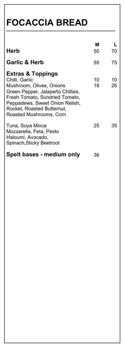**FOCACCIA BREAD**

| Herb                                                                                                                                                                                                                                        | Μ<br>50  | 70       |
|---------------------------------------------------------------------------------------------------------------------------------------------------------------------------------------------------------------------------------------------|----------|----------|
| <b>Garlic &amp; Herb</b>                                                                                                                                                                                                                    | 55       | 75       |
| <b>Extras &amp; Toppings</b><br>Chilli, Garlic<br>Mushroom, Olives, Onions<br>Green Pepper, Jalapeño Chillies,<br>Fresh Tomato, Sundried Tomato,<br>Peppadews, Sweet Onion Relish,<br>Rocket, Roasted Butternut,<br>Roasted Mushrooms, Corn | 10<br>18 | 10<br>26 |
| Tuna, Soya Mince<br>Mozzerella, Feta, Pesto<br>Haloumi, Avocado,<br>Spinach, Sticky Beetroot                                                                                                                                                | 25       | 35       |
| Spelt bases - medium only                                                                                                                                                                                                                   | 36       |          |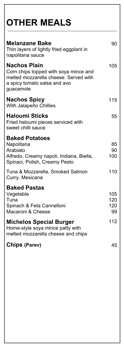| <b>OTHER MEALS</b>                                                                                                                                 |                         |
|----------------------------------------------------------------------------------------------------------------------------------------------------|-------------------------|
| <b>Melanzane Bake</b><br>Thin layers of lightly fried eggplant in<br>napolitana sauce                                                              | 90                      |
| <b>Nachos Plain</b><br>Corn chips topped with soya mince and<br>melted mozzarella cheese. Served with<br>a spicy tomato salsa and avo<br>guacamole | 105                     |
| <b>Nachos Spicy</b><br>With Jalapeño Chillies                                                                                                      | 115                     |
| <b>Haloumi Sticks</b><br>Fried haloumi pieces serviced with<br>sweet chilli sauce                                                                  | 55                      |
| <b>Baked Potatoes</b><br>Napolitana<br>Arabiato<br>Alfredo, Creamy napoli, Indiana, Biella,<br>Spinaci, Polish, Creamy Pesto                       | 85<br>90<br>100         |
| Tuna & Mozzarella, Smoked Salmon<br>Curry, Mexicana                                                                                                | 110                     |
| <b>Baked Pastas</b><br>Vegetable<br>Tuna<br>Spinach & Feta Cannelloni<br>Macaroni & Cheese                                                         | 105<br>120<br>120<br>99 |
| <b>Michelos Special Burger</b><br>Home-style soya mince patty with<br>melted mozzarella cheese and chips                                           | 112                     |
| <b>Chips (Parev)</b>                                                                                                                               | 45                      |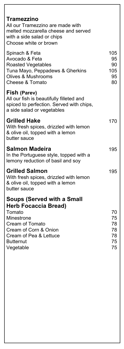#### **Tramezzino** All our Tramezzino are made with melted mozzarella cheese and served with a side salad or chips Choose white or brown Spinach & Feta 105 Avocado & Feta 95 Roasted Vegetables 90 Tuna Mayo, Peppadews & Gherkins 105 Olives & Mushrooms 95 Cheese & Tomato 80 **Fish (Parev)** All our fish is beautifully filleted and spiced to perfection. Served with chips, a side salad or vegetables **Grilled Hake** 170 With fresh spices, drizzled with lemon & olive oil, topped with a lemon butter sauce **Salmon Madeira** 195 In the Portuguese style, topped with a lemony reduction of basil and soy **Grilled Salmon 195** With fresh spices, drizzled with lemon & olive oil, topped with a lemon butter sauce **Soups (Served with a Small Herb Focaccia Bread)** Tomato 70 Minestrone 75 Cream of Tomato **78** Cream of Corn & Onion 78 Cream of Pea & Lettuce 78 Butternut 75 Vegetable 75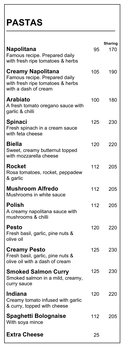### **PASTAS**

| <b>Napolitana</b><br>Famous recipe. Prepared daily                                        | 95  | <b>Sharing</b><br>170 |
|-------------------------------------------------------------------------------------------|-----|-----------------------|
| with fresh ripe tomatoes & herbs<br><b>Creamy Napolitana</b>                              | 105 | 190                   |
| Famous recipe. Prepared daily<br>with fresh ripe tomatoes & herbs<br>with a dash of cream |     |                       |
| <b>Arabiato</b><br>A fresh tomato oregano sauce with<br>garlic & chilli                   | 100 | 180                   |
| <b>Spinaci</b><br>Fresh spinach in a cream sauce<br>with feta cheese                      | 125 | 230                   |
| <b>Biella</b><br>Sweet, creamy butternut topped<br>with mozzarella cheese                 | 120 | 220                   |
| <b>Rocket</b><br>Rosa tomatoes, rocket, peppadew<br>& garlic                              | 112 | 205                   |
| <b>Mushroom Alfredo</b><br>Mushrooms in white sauce                                       | 112 | 205                   |
| <b>Polish</b><br>A creamy napolitana sauce with<br>mushrooms & chilli                     | 112 | 205                   |
| <b>Pesto</b><br>Fresh basil, garlic, pine nuts &<br>olive oil                             | 120 | 220                   |
| <b>Creamy Pesto</b><br>Fresh basil, garlic, pine nuts &<br>olive oil with a dash of cream | 125 | 230                   |
| <b>Smoked Salmon Curry</b><br>Smoked salmon in a mild, creamy,<br>curry sauce             | 125 | 230                   |
| <b>Indiana</b><br>Creamy tomato infused with garlic<br>& curry, topped with cheese        | 120 | 220                   |
| <b>Spaghetti Bolognaise</b><br>With soya mince                                            | 112 | 205                   |
| <b>Extra Cheese</b>                                                                       | 25  |                       |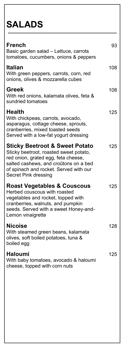# **SALADS**

| <b>French</b><br>Basic garden salad - Lettuce, carrots<br>tomatoes, cucumbers, onions & peppers                                                                                                                                              | 93  |
|----------------------------------------------------------------------------------------------------------------------------------------------------------------------------------------------------------------------------------------------|-----|
| <b>Italian</b><br>With green peppers, carrots, corn, red<br>onions, olives & mozzarella cubes                                                                                                                                                | 108 |
| <b>Greek</b><br>With red onions, kalamata olives, feta &<br>sundried tomatoes                                                                                                                                                                | 108 |
| <b>Health</b><br>With chickpeas, carrots, avocado,<br>asparagus, cottage cheese, sprouts,<br>cranberries, mixed toasted seeds<br>Served with a low-fat yogurt dressing                                                                       | 125 |
| <b>Sticky Beetroot &amp; Sweet Potato</b><br>Sticky beetroot, roasted sweet potato,<br>red onion, grated egg, feta cheese,<br>salted cashews, and croûtons on a bed<br>of spinach and rocket. Served with our<br><b>Secret Pink dressing</b> | 125 |
| <b>Roast Vegetables &amp; Couscous</b><br>Herbed couscous with roasted<br>vegetables and rocket, topped with<br>cranberries, walnuts, and pumpkin<br>seeds. Served with a sweet Honey-and-<br>Lemon vinaigrette                              | 125 |
| <b>Nicoise</b><br>With steamed green beans, kalamata<br>olives, soft boiled potatoes, tuna &<br>boiled egg                                                                                                                                   | 128 |
| <b>Haloumi</b><br>With baby tomatoes, avocado & haloumi<br>cheese, topped with corn nuts                                                                                                                                                     | 125 |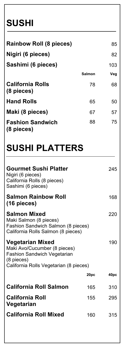## **SUSHI**

| <b>Rainbow Roll (8 pieces)</b>        |               | 85  |
|---------------------------------------|---------------|-----|
| Nigiri (6 pieces)                     |               | 82  |
| Sashimi (6 pieces)                    |               | 103 |
|                                       | <b>Salmon</b> | Veg |
| <b>California Rolls</b><br>(8 pieces) | 78            | 68  |
| <b>Hand Rolls</b>                     | 65            | 50  |
| Maki (8 pieces)                       | 67            | 57  |
| <b>Fashion Sandwich</b><br>(8 pieces) | 88            | 75  |

# **SUSHI PLATTERS**

| <b>Gourmet Sushi Platter</b><br>Nigiri (6 pieces)<br>California Rolls (8 pieces)<br>Sashimi (6 pieces)                                                  |      | 245  |
|---------------------------------------------------------------------------------------------------------------------------------------------------------|------|------|
| <b>Salmon Rainbow Roll</b><br>(16 pieces)                                                                                                               |      | 168  |
| <b>Salmon Mixed</b><br>Maki Salmon (8 pieces)<br>Fashion Sandwich Salmon (8 pieces)<br>California Rolls Salmon (8 pieces)                               |      | 220  |
| <b>Vegetarian Mixed</b><br>Maki Avo/Cucumber (8 pieces)<br><b>Fashion Sandwich Vegetarian</b><br>$(8$ pieces)<br>California Rolls Vegetarian (8 pieces) |      | 190  |
|                                                                                                                                                         | 20pc | 40pc |
| <b>California Roll Salmon</b>                                                                                                                           | 165  | 310  |
| <b>California Roll</b><br>Vegetarian                                                                                                                    | 155  | 295  |
| <b>California Roll Mixed</b>                                                                                                                            | 160  | 315  |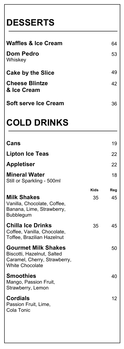# **DESSERTS**

| <b>Waffles &amp; Ice Cream</b>       | 64  |
|--------------------------------------|-----|
| <b>Dom Pedro</b><br>Whiskey          | 53  |
| <b>Cake by the Slice</b>             | 49  |
| <b>Cheese Blintze</b><br>& Ice Cream | 42  |
| Soft serve Ice Cream                 | 36. |

## **COLD DRINKS**

| Cans                                                                                                               |             | 19              |
|--------------------------------------------------------------------------------------------------------------------|-------------|-----------------|
| <b>Lipton Ice Teas</b>                                                                                             |             | 22              |
| <b>Appletiser</b>                                                                                                  |             | 22              |
| <b>Mineral Water</b><br>Still or Sparkling - 500ml                                                                 |             | 18              |
|                                                                                                                    | <b>Kids</b> | Reg             |
| <b>Milk Shakes</b><br>Vanilla, Chocolate, Coffee,<br>Banana, Lime, Strawberry,<br><b>Bubblegum</b>                 | 35          | 45              |
| <b>Chilla Ice Drinks</b><br>Coffee, Vanilla, Chocolate,<br>Toffee, Brazilian Hazelnut                              | 35          | 45              |
| <b>Gourmet Milk Shakes</b><br>Biscotti, Hazelnut, Salted<br>Caramel, Cherry, Strawberry,<br><b>White Chocolate</b> |             | 50              |
| <b>Smoothies</b><br>Mango, Passion Fruit,<br>Strawberry, Lemon                                                     |             | 40              |
| <b>Cordials</b><br>Passion Fruit, Lime,<br>Cola Tonic                                                              |             | 12 <sup>2</sup> |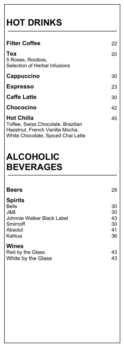# **HOT DRINKS**

| <b>Filter Coffee</b>                                                                                                             | 22 |
|----------------------------------------------------------------------------------------------------------------------------------|----|
| Tea<br>5 Roses, Rooibos,<br><b>Selection of Herbal Infusions</b>                                                                 | 20 |
| Cappuccino                                                                                                                       | 30 |
| <b>Espresso</b>                                                                                                                  | 23 |
| <b>Caffe Latte</b>                                                                                                               | 30 |
| Chococino                                                                                                                        | 42 |
| <b>Hot Chilla</b><br>Toffee, Swiss Chocolate, Brazilian<br>Hazelnut, French Vanilla Mocha,<br>White Chocolate, Spiced Chai Latte | 45 |

### **ALCOHOLIC BEVERAGES**

| <b>Beers</b>               | 29 |
|----------------------------|----|
| <b>Spirits</b>             |    |
| <b>Bells</b>               | 30 |
| J&B                        | 30 |
| Johnnie Walker Black Label | 43 |
| Smirnoff                   | 30 |
| Absolut                    | 41 |
| Kahlua                     | 36 |
| <b>Wines</b>               |    |
| Red by the Glass           | 43 |
| White by the Glass         | 43 |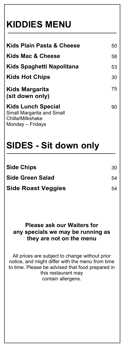# **KIDDIES MENU**

| Kids Plain Pasta & Cheese                                                         | 50 |
|-----------------------------------------------------------------------------------|----|
| Kids Mac & Cheese                                                                 | 58 |
| Kids Spaghetti Napolitana                                                         | 53 |
| <b>Kids Hot Chips</b>                                                             | 30 |
| Kids Margarita<br>(sit down only)                                                 | 75 |
| <b>Kids Lunch Special</b><br><b>Small Margarita and Small</b><br>Chilla/Milkshake | 90 |

#### Monday – Fridays

#### **SIDES - Sit down only**

| <b>Side Chips</b>         | 30 |
|---------------------------|----|
| <b>Side Green Salad</b>   | 54 |
| <b>Side Roast Veggies</b> | 54 |

#### **Please ask our Waiters for any specials we may be running as they are not on the menu**

All prices are subject to change without prior notice, and might differ with the menu from time to time. Please be advised that food prepared in this restaurant may contain allergens.